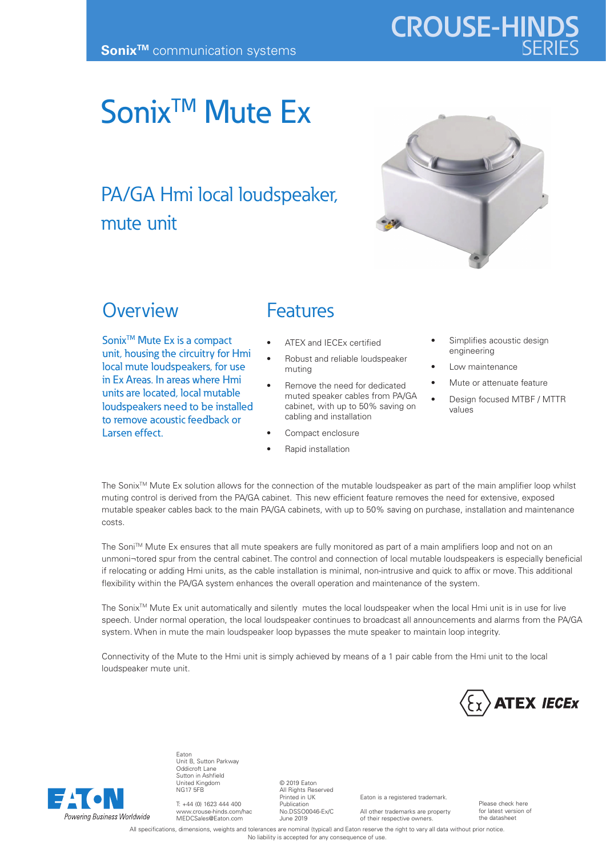# Sonix<sup>™</sup> Mute Ex

## PA/GA Hmi local loudspeaker, mute unit



**CROUSE-HIND** 

#### **Overview**

Sonix<sup>™</sup> Mute Ex is a compact unit, housing the circuitry for Hmi local mute loudspeakers, for use in Ex Areas. In areas where Hmi units are located, local mutable loudspeakers need to be installed to remove acoustic feedback or Larsen effect.

### **Features**

- ATEX and IECEx certified
- Robust and reliable loudspeaker muting
- Remove the need for dedicated muted speaker cables from PA/GA cabinet, with up to 50% saving on cabling and installation
- Compact enclosure
- Rapid installation
- Simplifies acoustic design engineering
- Low maintenance
- Mute or attenuate feature
- Design focused MTBF / MTTR values

The Sonix™ Mute Ex solution allows for the connection of the mutable loudspeaker as part of the main amplifier loop whilst muting control is derived from the PA/GA cabinet. This new efficient feature removes the need for extensive, exposed mutable speaker cables back to the main PA/GA cabinets, with up to 50% saving on purchase, installation and maintenance costs.

The Soni™ Mute Ex ensures that all mute speakers are fully monitored as part of a main amplifiers loop and not on an unmoni¬tored spur from the central cabinet. The control and connection of local mutable loudspeakers is especially beneficial if relocating or adding Hmi units, as the cable installation is minimal, non-intrusive and quick to affix or move. This additional flexibility within the PA/GA system enhances the overall operation and maintenance of the system.

The Sonix<sup>™</sup> Mute Ex unit automatically and silently mutes the local loudspeaker when the local Hmi unit is in use for live speech. Under normal operation, the local loudspeaker continues to broadcast all announcements and alarms from the PA/GA system. When in mute the main loudspeaker loop bypasses the mute speaker to maintain loop integrity.

Connectivity of the Mute to the Hmi unit is simply achieved by means of a 1 pair cable from the Hmi unit to the local loudspeaker mute unit.





Eaton Unit B, Sutton Parkway Oddicroft Lane Sutton in Ashfield United Kingdom NG17 5FB

T: +44 (0) 1623 444 400 www.crouse-hinds.com/hac MEDCSales@Eaton.com

© 2019 Eaton All Rights Reserved Printed in UK Publication No.DSSO0046-Ex/C June 2019

Eaton is a registered trademark. All other trademarks are property

of their respective owners.

Please check here for latest version of the datasheet

All specifications, dimensions, weights and tolerances are nominal (typical) and Eaton reserve the right to vary all data without prior notice No liability is accepted for any consequence of use.